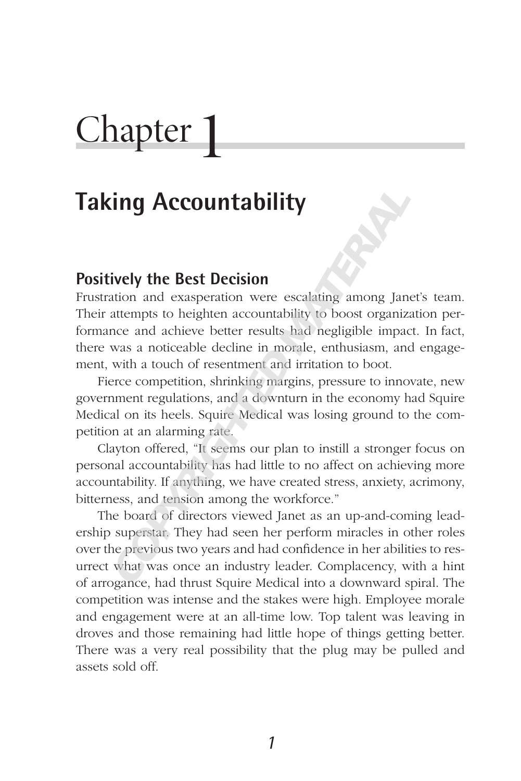# Chapter 1

## **Taking Accountability**

## **Positively the Best Decision**

Frustration and exasperation were escalating among Janet's team. Their attempts to heighten accountability to boost organization performance and achieve better results had negligible impact. In fact, there was a noticeable decline in morale, enthusiasm, and engagement, with a touch of resentment and irritation to boot. **COUNTABILITY**<br> **COUNTABILITY**<br> **COUNTABILITY**<br> **COUNTABILITY**<br> **COUNTABILITY**<br> **COUNTABILITY**<br> **COUNTABILITY**<br> **COUNTABILITY**<br> **COUNTABILITY**<br> **COUNTABILITY**<br> **COUNTABILITY**<br> **COUNTABILITY**<br> **COUNTABILITY**<br> **COUNTABILITY** 

Free competition, similarly margins, pressure to imported, new<br>government regulations, and a downturn in the economy had Squire Fierce competition, shrinking margins, pressure to innovate, new Medical on its heels. Squire Medical was losing ground to the competition at an alarming rate.

> Clayton offered, "It seems our plan to instill a stronger focus on personal accountability has had little to no affect on achieving more accountability. If anything, we have created stress, anxiety, acrimony, bitterness, and tension among the workforce."

> The board of directors viewed Janet as an up-and-coming leadership superstar. They had seen her perform miracles in other roles over the previous two years and had confidence in her abilities to resurrect what was once an industry leader. Complacency, with a hint of arrogance, had thrust Squire Medical into a downward spiral. The competition was intense and the stakes were high. Employee morale and engagement were at an all-time low. Top talent was leaving in droves and those remaining had little hope of things getting better. There was a very real possibility that the plug may be pulled and assets sold off.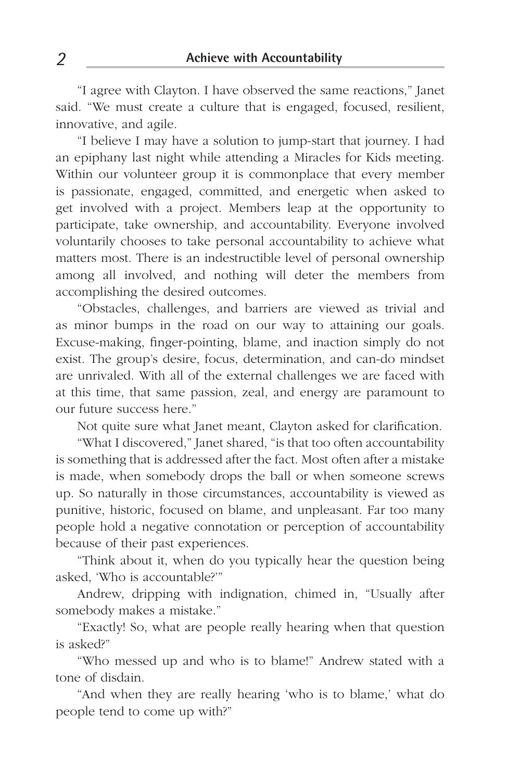"I agree with Clayton. I have observed the same reactions," Janet said. "We must create a culture that is engaged, focused, resilient, innovative, and agile.

"I believe I may have a solution to jump-start that journey. I had an epiphany last night while attending a Miracles for Kids meeting. Within our volunteer group it is commonplace that every member is passionate, engaged, committed, and energetic when asked to get involved with a project. Members leap at the opportunity to participate, take ownership, and accountability. Everyone involved voluntarily chooses to take personal accountability to achieve what matters most. There is an indestructible level of personal ownership among all involved, and nothing will deter the members from accomplishing the desired outcomes.

❦ ❦ at this time, that same passion, zeal, and energy are paramount to "Obstacles, challenges, and barriers are viewed as trivial and as minor bumps in the road on our way to attaining our goals. Excuse-making, finger-pointing, blame, and inaction simply do not exist. The group's desire, focus, determination, and can-do mindset are unrivaled. With all of the external challenges we are faced with our future success here."

Not quite sure what Janet meant, Clayton asked for clarification.

"What I discovered," Janet shared, "is that too often accountability is something that is addressed after the fact. Most often after a mistake is made, when somebody drops the ball or when someone screws up. So naturally in those circumstances, accountability is viewed as punitive, historic, focused on blame, and unpleasant. Far too many people hold a negative connotation or perception of accountability because of their past experiences.

"Think about it, when do you typically hear the question being asked, 'Who is accountable?'"

Andrew, dripping with indignation, chimed in, "Usually after somebody makes a mistake."

"Exactly! So, what are people really hearing when that question is asked?"

"Who messed up and who is to blame!" Andrew stated with a tone of disdain.

"And when they are really hearing 'who is to blame,' what do people tend to come up with?"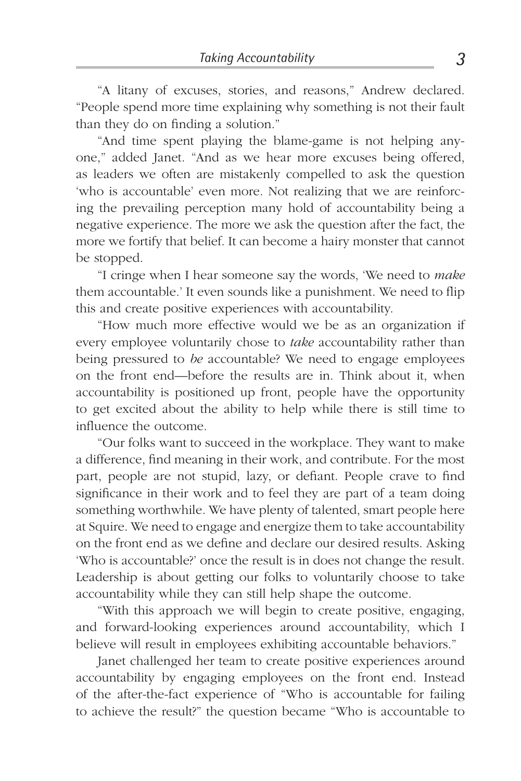"A litany of excuses, stories, and reasons," Andrew declared. "People spend more time explaining why something is not their fault than they do on finding a solution."

"And time spent playing the blame-game is not helping anyone," added Janet. "And as we hear more excuses being offered, as leaders we often are mistakenly compelled to ask the question 'who is accountable' even more. Not realizing that we are reinforcing the prevailing perception many hold of accountability being a negative experience. The more we ask the question after the fact, the more we fortify that belief. It can become a hairy monster that cannot be stopped.

"I cringe when I hear someone say the words, 'We need to make them accountable.' It even sounds like a punishment. We need to flip this and create positive experiences with accountability.

accountability is positioned up front, people have the opportunity "How much more effective would we be as an organization if every employee voluntarily chose to take accountability rather than being pressured to be accountable? We need to engage employees on the front end—before the results are in. Think about it, when to get excited about the ability to help while there is still time to influence the outcome.

> "Our folks want to succeed in the workplace. They want to make a difference, find meaning in their work, and contribute. For the most part, people are not stupid, lazy, or defiant. People crave to find significance in their work and to feel they are part of a team doing something worthwhile. We have plenty of talented, smart people here at Squire. We need to engage and energize them to take accountability on the front end as we define and declare our desired results. Asking 'Who is accountable?' once the result is in does not change the result. Leadership is about getting our folks to voluntarily choose to take accountability while they can still help shape the outcome.

> "With this approach we will begin to create positive, engaging, and forward-looking experiences around accountability, which I believe will result in employees exhibiting accountable behaviors."

> Janet challenged her team to create positive experiences around accountability by engaging employees on the front end. Instead of the after-the-fact experience of "Who is accountable for failing to achieve the result?" the question became "Who is accountable to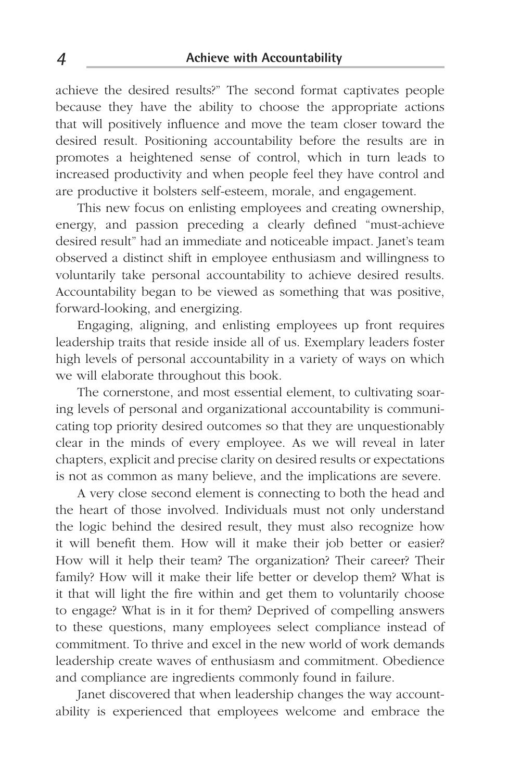achieve the desired results?" The second format captivates people because they have the ability to choose the appropriate actions that will positively influence and move the team closer toward the desired result. Positioning accountability before the results are in promotes a heightened sense of control, which in turn leads to increased productivity and when people feel they have control and are productive it bolsters self-esteem, morale, and engagement.

This new focus on enlisting employees and creating ownership, energy, and passion preceding a clearly defined "must-achieve desired result" had an immediate and noticeable impact. Janet's team observed a distinct shift in employee enthusiasm and willingness to voluntarily take personal accountability to achieve desired results. Accountability began to be viewed as something that was positive, forward-looking, and energizing.

Engaging, aligning, and enlisting employees up front requires leadership traits that reside inside all of us. Exemplary leaders foster high levels of personal accountability in a variety of ways on which we will elaborate throughout this book.

The cornerstone, and most essential element, to cultivating soaring levels of personal and organizational accountability is communicating top priority desired outcomes so that they are unquestionably clear in the minds of every employee. As we will reveal in later chapters, explicit and precise clarity on desired results or expectations is not as common as many believe, and the implications are severe.

> A very close second element is connecting to both the head and the heart of those involved. Individuals must not only understand the logic behind the desired result, they must also recognize how it will benefit them. How will it make their job better or easier? How will it help their team? The organization? Their career? Their family? How will it make their life better or develop them? What is it that will light the fire within and get them to voluntarily choose to engage? What is in it for them? Deprived of compelling answers to these questions, many employees select compliance instead of commitment. To thrive and excel in the new world of work demands leadership create waves of enthusiasm and commitment. Obedience and compliance are ingredients commonly found in failure.

> Janet discovered that when leadership changes the way accountability is experienced that employees welcome and embrace the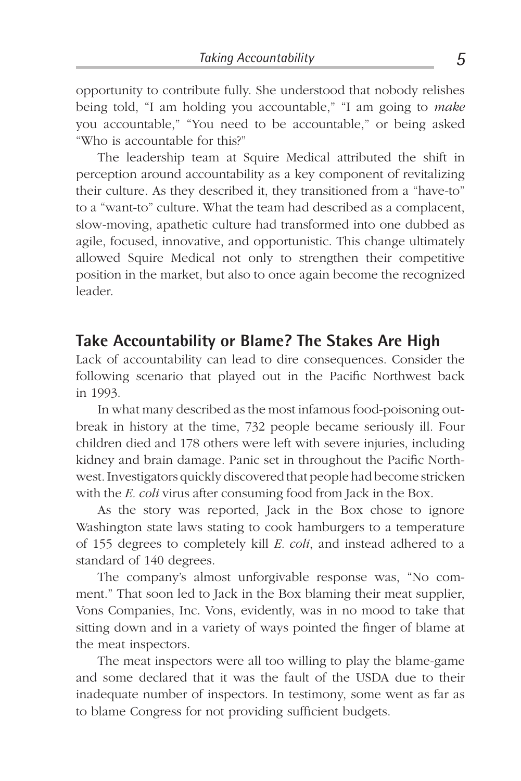opportunity to contribute fully. She understood that nobody relishes being told, "I am holding you accountable," "I am going to *make* you accountable," "You need to be accountable," or being asked "Who is accountable for this?"

The leadership team at Squire Medical attributed the shift in perception around accountability as a key component of revitalizing their culture. As they described it, they transitioned from a "have-to" to a "want-to" culture. What the team had described as a complacent, slow-moving, apathetic culture had transformed into one dubbed as agile, focused, innovative, and opportunistic. This change ultimately allowed Squire Medical not only to strengthen their competitive position in the market, but also to once again become the recognized leader.

## **Take Accountability or Blame? The Stakes Are High**

 $\frac{1003}{10000}$ Lack of accountability can lead to dire consequences. Consider the following scenario that played out in the Pacific Northwest back in 1993.

> In what many described as the most infamous food-poisoning outbreak in history at the time, 732 people became seriously ill. Four children died and 178 others were left with severe injuries, including kidney and brain damage. Panic set in throughout the Pacific Northwest. Investigators quickly discovered that people had become stricken with the E. coli virus after consuming food from Jack in the Box.

> As the story was reported, Jack in the Box chose to ignore Washington state laws stating to cook hamburgers to a temperature of 155 degrees to completely kill E. coli, and instead adhered to a standard of 140 degrees.

> The company's almost unforgivable response was, "No comment." That soon led to Jack in the Box blaming their meat supplier, Vons Companies, Inc. Vons, evidently, was in no mood to take that sitting down and in a variety of ways pointed the finger of blame at the meat inspectors.

> The meat inspectors were all too willing to play the blame-game and some declared that it was the fault of the USDA due to their inadequate number of inspectors. In testimony, some went as far as to blame Congress for not providing sufficient budgets.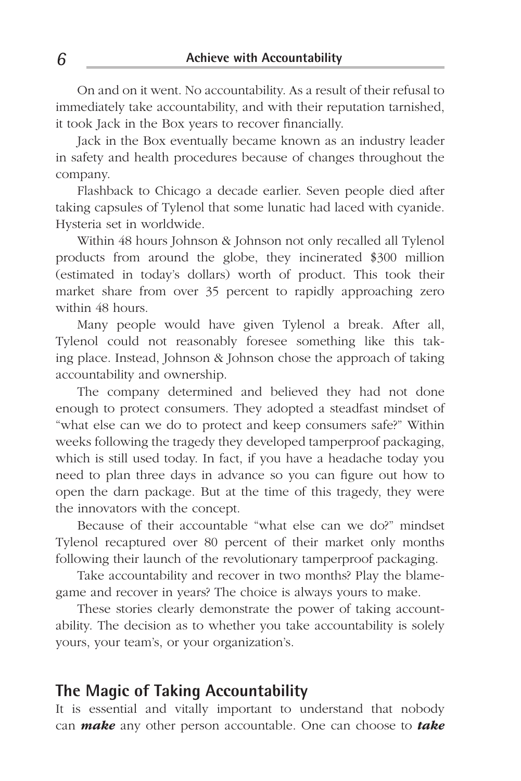On and on it went. No accountability. As a result of their refusal to immediately take accountability, and with their reputation tarnished, it took Jack in the Box years to recover financially.

Jack in the Box eventually became known as an industry leader in safety and health procedures because of changes throughout the company.

Flashback to Chicago a decade earlier. Seven people died after taking capsules of Tylenol that some lunatic had laced with cyanide. Hysteria set in worldwide.

Within 48 hours Johnson & Johnson not only recalled all Tylenol products from around the globe, they incinerated \$300 million (estimated in today's dollars) worth of product. This took their market share from over 35 percent to rapidly approaching zero within 48 hours.

Many people would have given Tylenol a break. After all, Tylenol could not reasonably foresee something like this taking place. Instead, Johnson & Johnson chose the approach of taking accountability and ownership.

The company determined and believed they had not done enough to protect consumers. They adopted a steadfast mindset of "what else can we do to protect and keep consumers safe?" Within weeks following the tragedy they developed tamperproof packaging, which is still used today. In fact, if you have a headache today you need to plan three days in advance so you can figure out how to open the darn package. But at the time of this tragedy, they were the innovators with the concept.

> Because of their accountable "what else can we do?" mindset Tylenol recaptured over 80 percent of their market only months following their launch of the revolutionary tamperproof packaging.

> Take accountability and recover in two months? Play the blamegame and recover in years? The choice is always yours to make.

> These stories clearly demonstrate the power of taking accountability. The decision as to whether you take accountability is solely yours, your team's, or your organization's.

## **The Magic of Taking Accountability**

It is essential and vitally important to understand that nobody can **make** any other person accountable. One can choose to **take**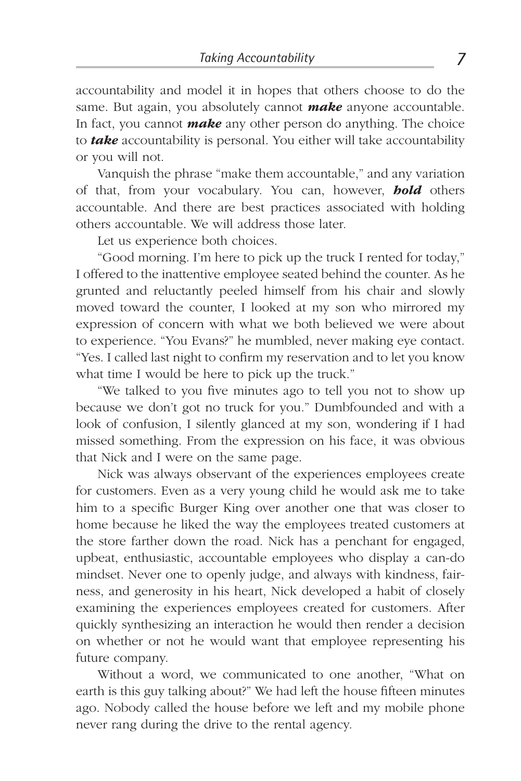accountability and model it in hopes that others choose to do the same. But again, you absolutely cannot *make* anyone accountable. In fact, you cannot **make** any other person do anything. The choice to **take** accountability is personal. You either will take accountability or you will not.

Vanquish the phrase "make them accountable," and any variation of that, from your vocabulary. You can, however, **hold** others accountable. And there are best practices associated with holding others accountable. We will address those later.

Let us experience both choices.

"Good morning. I'm here to pick up the truck I rented for today," I offered to the inattentive employee seated behind the counter. As he grunted and reluctantly peeled himself from his chair and slowly moved toward the counter, I looked at my son who mirrored my expression of concern with what we both believed we were about to experience. "You Evans?" he mumbled, never making eye contact. "Yes. I called last night to confirm my reservation and to let you know what time I would be here to pick up the truck."

❦ ❦ "We talked to you five minutes ago to tell you not to show up because we don't got no truck for you." Dumbfounded and with a look of confusion, I silently glanced at my son, wondering if I had missed something. From the expression on his face, it was obvious that Nick and I were on the same page.

> Nick was always observant of the experiences employees create for customers. Even as a very young child he would ask me to take him to a specific Burger King over another one that was closer to home because he liked the way the employees treated customers at the store farther down the road. Nick has a penchant for engaged, upbeat, enthusiastic, accountable employees who display a can-do mindset. Never one to openly judge, and always with kindness, fairness, and generosity in his heart, Nick developed a habit of closely examining the experiences employees created for customers. After quickly synthesizing an interaction he would then render a decision on whether or not he would want that employee representing his future company.

> Without a word, we communicated to one another, "What on earth is this guy talking about?" We had left the house fifteen minutes ago. Nobody called the house before we left and my mobile phone never rang during the drive to the rental agency.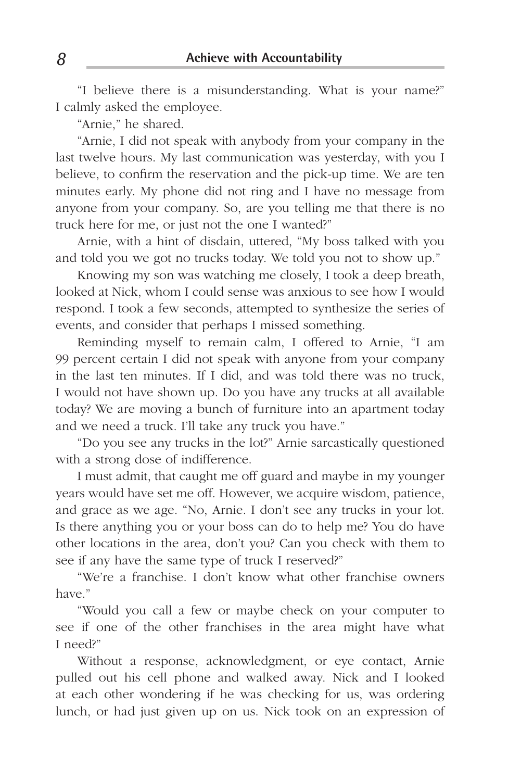"I believe there is a misunderstanding. What is your name?" I calmly asked the employee.

"Arnie," he shared.

"Arnie, I did not speak with anybody from your company in the last twelve hours. My last communication was yesterday, with you I believe, to confirm the reservation and the pick-up time. We are ten minutes early. My phone did not ring and I have no message from anyone from your company. So, are you telling me that there is no truck here for me, or just not the one I wanted?"

Arnie, with a hint of disdain, uttered, "My boss talked with you and told you we got no trucks today. We told you not to show up."

Knowing my son was watching me closely, I took a deep breath, looked at Nick, whom I could sense was anxious to see how I would respond. I took a few seconds, attempted to synthesize the series of events, and consider that perhaps I missed something.

I would not have shown up. Do you have any trucks at all available Reminding myself to remain calm, I offered to Arnie, "I am 99 percent certain I did not speak with anyone from your company in the last ten minutes. If I did, and was told there was no truck, today? We are moving a bunch of furniture into an apartment today and we need a truck. I'll take any truck you have."

> "Do you see any trucks in the lot?" Arnie sarcastically questioned with a strong dose of indifference.

> I must admit, that caught me off guard and maybe in my younger years would have set me off. However, we acquire wisdom, patience, and grace as we age. "No, Arnie. I don't see any trucks in your lot. Is there anything you or your boss can do to help me? You do have other locations in the area, don't you? Can you check with them to see if any have the same type of truck I reserved?"

> "We're a franchise. I don't know what other franchise owners have."

> "Would you call a few or maybe check on your computer to see if one of the other franchises in the area might have what I need?"

> Without a response, acknowledgment, or eye contact, Arnie pulled out his cell phone and walked away. Nick and I looked at each other wondering if he was checking for us, was ordering lunch, or had just given up on us. Nick took on an expression of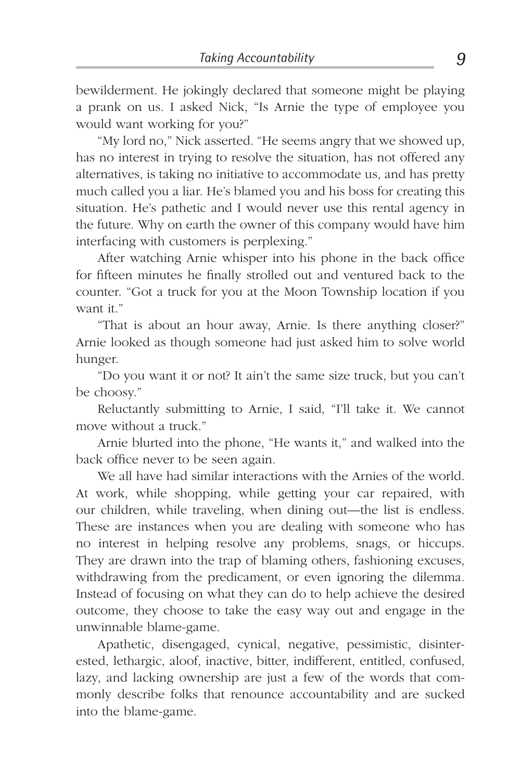bewilderment. He jokingly declared that someone might be playing a prank on us. I asked Nick, "Is Arnie the type of employee you would want working for you?"

"My lord no," Nick asserted. "He seems angry that we showed up, has no interest in trying to resolve the situation, has not offered any alternatives, is taking no initiative to accommodate us, and has pretty much called you a liar. He's blamed you and his boss for creating this situation. He's pathetic and I would never use this rental agency in the future. Why on earth the owner of this company would have him interfacing with customers is perplexing."

After watching Arnie whisper into his phone in the back office for fifteen minutes he finally strolled out and ventured back to the counter. "Got a truck for you at the Moon Township location if you want it."

"That is about an hour away, Arnie. Is there anything closer?" Arnie looked as though someone had just asked him to solve world hunger.

 $\frac{1}{2}$   $\frac{1}{2}$   $\frac{1}{2}$   $\frac{1}{2}$   $\frac{1}{2}$   $\frac{1}{2}$   $\frac{1}{2}$   $\frac{1}{2}$   $\frac{1}{2}$   $\frac{1}{2}$   $\frac{1}{2}$   $\frac{1}{2}$   $\frac{1}{2}$   $\frac{1}{2}$   $\frac{1}{2}$   $\frac{1}{2}$   $\frac{1}{2}$   $\frac{1}{2}$   $\frac{1}{2}$   $\frac{1}{2}$   $\frac{1}{2}$   $\frac{1}{2}$  "Do you want it or not? It ain't the same size truck, but you can't be choosy."

> Reluctantly submitting to Arnie, I said, "I'll take it. We cannot move without a truck."

> Arnie blurted into the phone, "He wants it," and walked into the back office never to be seen again.

> We all have had similar interactions with the Arnies of the world. At work, while shopping, while getting your car repaired, with our children, while traveling, when dining out—the list is endless. These are instances when you are dealing with someone who has no interest in helping resolve any problems, snags, or hiccups. They are drawn into the trap of blaming others, fashioning excuses, withdrawing from the predicament, or even ignoring the dilemma. Instead of focusing on what they can do to help achieve the desired outcome, they choose to take the easy way out and engage in the unwinnable blame-game.

> Apathetic, disengaged, cynical, negative, pessimistic, disinterested, lethargic, aloof, inactive, bitter, indifferent, entitled, confused, lazy, and lacking ownership are just a few of the words that commonly describe folks that renounce accountability and are sucked into the blame-game.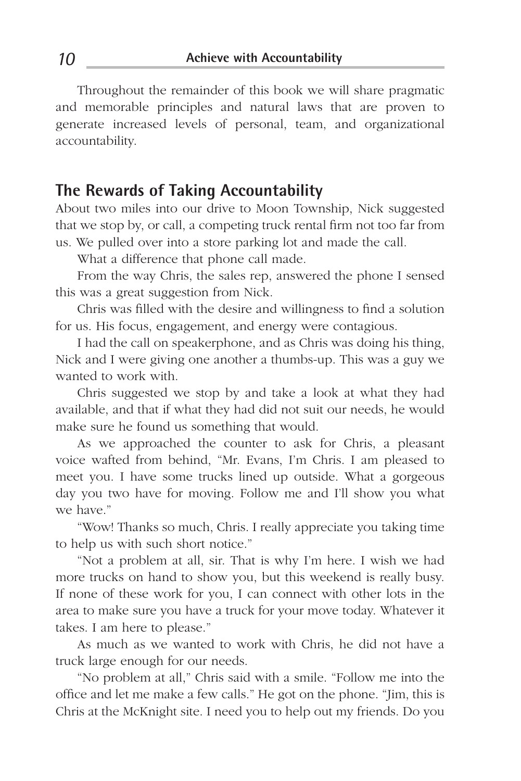Throughout the remainder of this book we will share pragmatic and memorable principles and natural laws that are proven to generate increased levels of personal, team, and organizational accountability.

## **The Rewards of Taking Accountability**

About two miles into our drive to Moon Township, Nick suggested that we stop by, or call, a competing truck rental firm not too far from us. We pulled over into a store parking lot and made the call.

What a difference that phone call made.

From the way Chris, the sales rep, answered the phone I sensed this was a great suggestion from Nick.

Chris was filled with the desire and willingness to find a solution for us. His focus, engagement, and energy were contagious.

I had the call on speakerphone, and as Chris was doing his thing, Nick and I were giving one another a thumbs-up. This was a guy we wanted to work with.

Chris suggested we stop by and take a look at what they had available, and that if what they had did not suit our needs, he would make sure he found us something that would.

> As we approached the counter to ask for Chris, a pleasant voice wafted from behind, "Mr. Evans, I'm Chris. I am pleased to meet you. I have some trucks lined up outside. What a gorgeous day you two have for moving. Follow me and I'll show you what we have."

> "Wow! Thanks so much, Chris. I really appreciate you taking time to help us with such short notice."

> "Not a problem at all, sir. That is why I'm here. I wish we had more trucks on hand to show you, but this weekend is really busy. If none of these work for you, I can connect with other lots in the area to make sure you have a truck for your move today. Whatever it takes. I am here to please."

> As much as we wanted to work with Chris, he did not have a truck large enough for our needs.

> "No problem at all," Chris said with a smile. "Follow me into the office and let me make a few calls." He got on the phone. "Jim, this is Chris at the McKnight site. I need you to help out my friends. Do you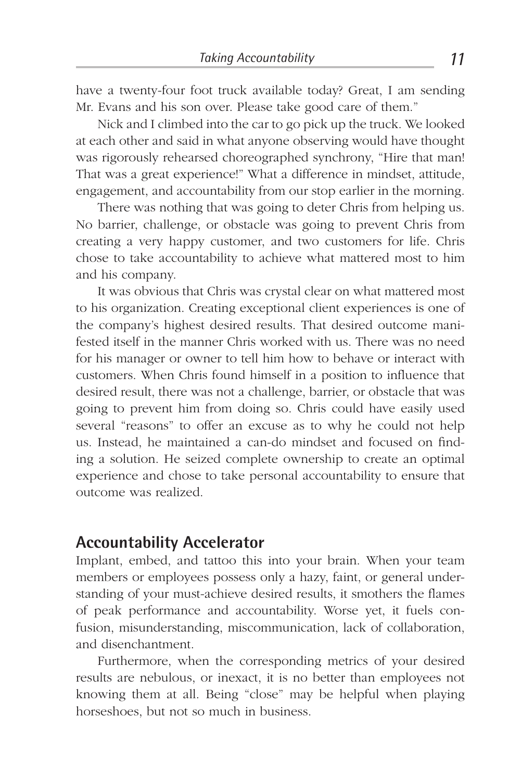have a twenty-four foot truck available today? Great, I am sending Mr. Evans and his son over. Please take good care of them."

Nick and I climbed into the car to go pick up the truck. We looked at each other and said in what anyone observing would have thought was rigorously rehearsed choreographed synchrony, "Hire that man! That was a great experience!" What a difference in mindset, attitude, engagement, and accountability from our stop earlier in the morning.

There was nothing that was going to deter Chris from helping us. No barrier, challenge, or obstacle was going to prevent Chris from creating a very happy customer, and two customers for life. Chris chose to take accountability to achieve what mattered most to him and his company.

desired result, there was not a challenge, barrier, or obstacle that was It was obvious that Chris was crystal clear on what mattered most to his organization. Creating exceptional client experiences is one of the company's highest desired results. That desired outcome manifested itself in the manner Chris worked with us. There was no need for his manager or owner to tell him how to behave or interact with customers. When Chris found himself in a position to influence that going to prevent him from doing so. Chris could have easily used several "reasons" to offer an excuse as to why he could not help us. Instead, he maintained a can-do mindset and focused on finding a solution. He seized complete ownership to create an optimal experience and chose to take personal accountability to ensure that outcome was realized.

## **Accountability Accelerator**

Implant, embed, and tattoo this into your brain. When your team members or employees possess only a hazy, faint, or general understanding of your must-achieve desired results, it smothers the flames of peak performance and accountability. Worse yet, it fuels confusion, misunderstanding, miscommunication, lack of collaboration, and disenchantment.

Furthermore, when the corresponding metrics of your desired results are nebulous, or inexact, it is no better than employees not knowing them at all. Being "close" may be helpful when playing horseshoes, but not so much in business.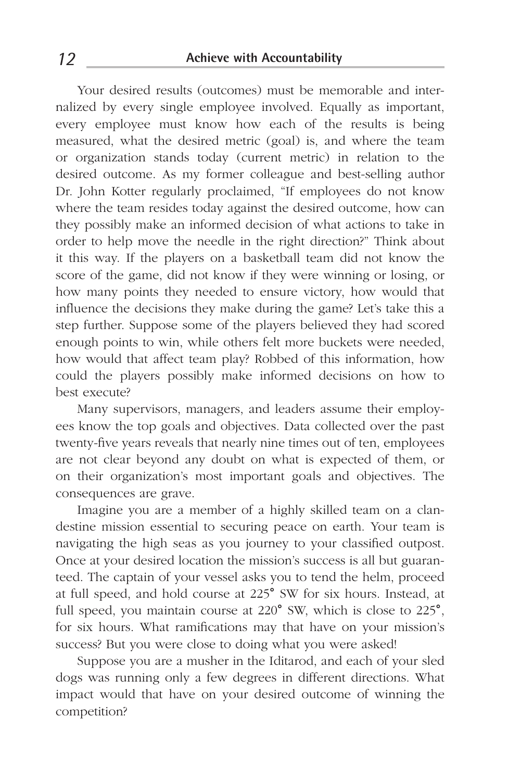best execute? Your desired results (outcomes) must be memorable and internalized by every single employee involved. Equally as important, every employee must know how each of the results is being measured, what the desired metric (goal) is, and where the team or organization stands today (current metric) in relation to the desired outcome. As my former colleague and best-selling author Dr. John Kotter regularly proclaimed, "If employees do not know where the team resides today against the desired outcome, how can they possibly make an informed decision of what actions to take in order to help move the needle in the right direction?" Think about it this way. If the players on a basketball team did not know the score of the game, did not know if they were winning or losing, or how many points they needed to ensure victory, how would that influence the decisions they make during the game? Let's take this a step further. Suppose some of the players believed they had scored enough points to win, while others felt more buckets were needed, how would that affect team play? Robbed of this information, how could the players possibly make informed decisions on how to best execute?

> Many supervisors, managers, and leaders assume their employees know the top goals and objectives. Data collected over the past twenty-five years reveals that nearly nine times out of ten, employees are not clear beyond any doubt on what is expected of them, or on their organization's most important goals and objectives. The consequences are grave.

> Imagine you are a member of a highly skilled team on a clandestine mission essential to securing peace on earth. Your team is navigating the high seas as you journey to your classified outpost. Once at your desired location the mission's success is all but guaranteed. The captain of your vessel asks you to tend the helm, proceed at full speed, and hold course at 225∘ SW for six hours. Instead, at full speed, you maintain course at 220∘ SW, which is close to 225∘, for six hours. What ramifications may that have on your mission's success? But you were close to doing what you were asked!

> Suppose you are a musher in the Iditarod, and each of your sled dogs was running only a few degrees in different directions. What impact would that have on your desired outcome of winning the competition?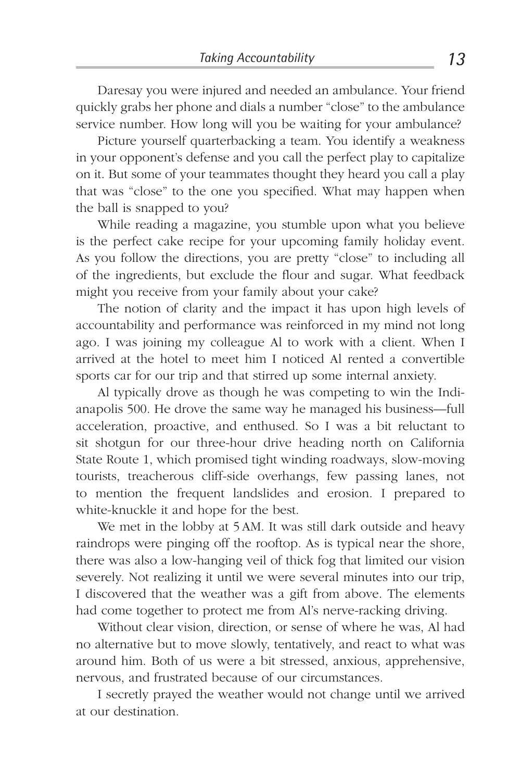Daresay you were injured and needed an ambulance. Your friend quickly grabs her phone and dials a number "close" to the ambulance service number. How long will you be waiting for your ambulance?

Picture yourself quarterbacking a team. You identify a weakness in your opponent's defense and you call the perfect play to capitalize on it. But some of your teammates thought they heard you call a play that was "close" to the one you specified. What may happen when the ball is snapped to you?

While reading a magazine, you stumble upon what you believe is the perfect cake recipe for your upcoming family holiday event. As you follow the directions, you are pretty "close" to including all of the ingredients, but exclude the flour and sugar. What feedback might you receive from your family about your cake?

The notion of clarity and the impact it has upon high levels of accountability and performance was reinforced in my mind not long ago. I was joining my colleague Al to work with a client. When I arrived at the hotel to meet him I noticed Al rented a convertible sports car for our trip and that stirred up some internal anxiety.

Al typically drove as though he was competing to win the Indianapolis 500. He drove the same way he managed his business—full acceleration, proactive, and enthused. So I was a bit reluctant to sit shotgun for our three-hour drive heading north on California State Route 1, which promised tight winding roadways, slow-moving tourists, treacherous cliff-side overhangs, few passing lanes, not to mention the frequent landslides and erosion. I prepared to white-knuckle it and hope for the best.

> We met in the lobby at 5 AM. It was still dark outside and heavy raindrops were pinging off the rooftop. As is typical near the shore, there was also a low-hanging veil of thick fog that limited our vision severely. Not realizing it until we were several minutes into our trip, I discovered that the weather was a gift from above. The elements had come together to protect me from Al's nerve-racking driving.

> Without clear vision, direction, or sense of where he was, Al had no alternative but to move slowly, tentatively, and react to what was around him. Both of us were a bit stressed, anxious, apprehensive, nervous, and frustrated because of our circumstances.

> I secretly prayed the weather would not change until we arrived at our destination.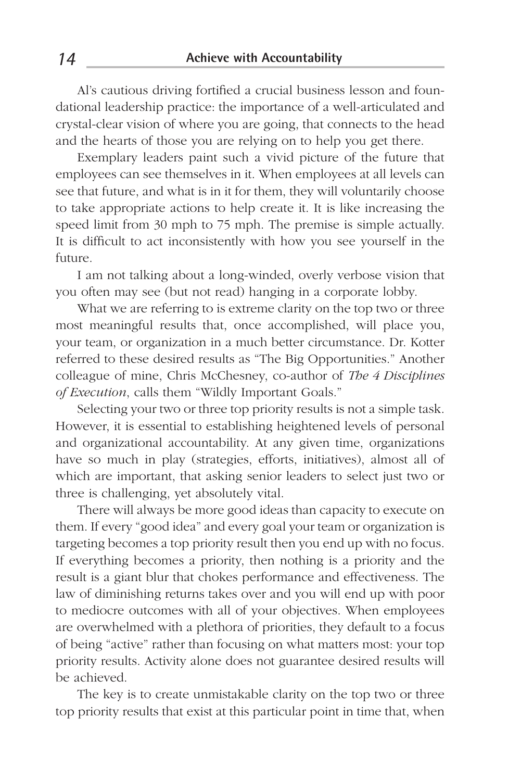Al's cautious driving fortified a crucial business lesson and foundational leadership practice: the importance of a well-articulated and crystal-clear vision of where you are going, that connects to the head and the hearts of those you are relying on to help you get there.

Exemplary leaders paint such a vivid picture of the future that employees can see themselves in it. When employees at all levels can see that future, and what is in it for them, they will voluntarily choose to take appropriate actions to help create it. It is like increasing the speed limit from 30 mph to 75 mph. The premise is simple actually. It is difficult to act inconsistently with how you see yourself in the future.

I am not talking about a long-winded, overly verbose vision that you often may see (but not read) hanging in a corporate lobby.

of Execution, calls them "Wildly Important Goals." What we are referring to is extreme clarity on the top two or three most meaningful results that, once accomplished, will place you, your team, or organization in a much better circumstance. Dr. Kotter referred to these desired results as "The Big Opportunities." Another colleague of mine, Chris McChesney, co-author of The 4 Disciplines

> Selecting your two or three top priority results is not a simple task. However, it is essential to establishing heightened levels of personal and organizational accountability. At any given time, organizations have so much in play (strategies, efforts, initiatives), almost all of which are important, that asking senior leaders to select just two or three is challenging, yet absolutely vital.

> There will always be more good ideas than capacity to execute on them. If every "good idea" and every goal your team or organization is targeting becomes a top priority result then you end up with no focus. If everything becomes a priority, then nothing is a priority and the result is a giant blur that chokes performance and effectiveness. The law of diminishing returns takes over and you will end up with poor to mediocre outcomes with all of your objectives. When employees are overwhelmed with a plethora of priorities, they default to a focus of being "active" rather than focusing on what matters most: your top priority results. Activity alone does not guarantee desired results will be achieved.

> The key is to create unmistakable clarity on the top two or three top priority results that exist at this particular point in time that, when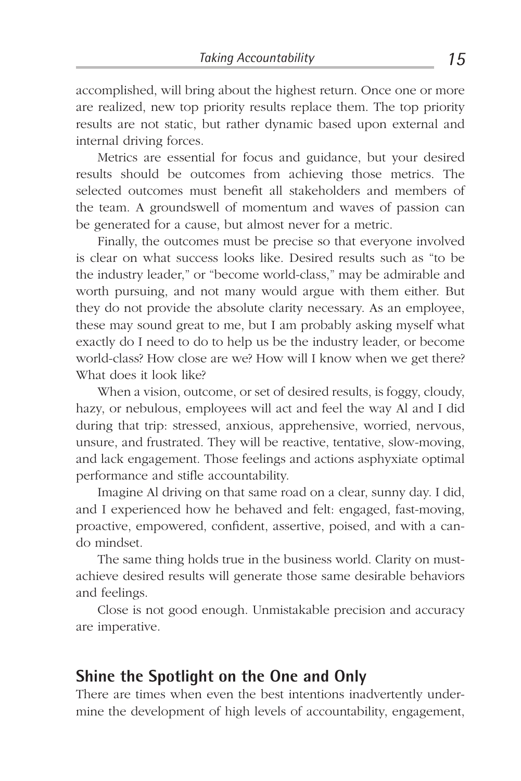accomplished, will bring about the highest return. Once one or more are realized, new top priority results replace them. The top priority results are not static, but rather dynamic based upon external and internal driving forces.

Metrics are essential for focus and guidance, but your desired results should be outcomes from achieving those metrics. The selected outcomes must benefit all stakeholders and members of the team. A groundswell of momentum and waves of passion can be generated for a cause, but almost never for a metric.

Finally, the outcomes must be precise so that everyone involved is clear on what success looks like. Desired results such as "to be the industry leader," or "become world-class," may be admirable and worth pursuing, and not many would argue with them either. But they do not provide the absolute clarity necessary. As an employee, these may sound great to me, but I am probably asking myself what exactly do I need to do to help us be the industry leader, or become world-class? How close are we? How will I know when we get there? What does it look like?

When a vision, outcome, or set of desired results, is foggy, cloudy, hazy, or nebulous, employees will act and feel the way Al and I did during that trip: stressed, anxious, apprehensive, worried, nervous, unsure, and frustrated. They will be reactive, tentative, slow-moving, and lack engagement. Those feelings and actions asphyxiate optimal performance and stifle accountability.

> Imagine Al driving on that same road on a clear, sunny day. I did, and I experienced how he behaved and felt: engaged, fast-moving, proactive, empowered, confident, assertive, poised, and with a cando mindset.

> The same thing holds true in the business world. Clarity on mustachieve desired results will generate those same desirable behaviors and feelings.

> Close is not good enough. Unmistakable precision and accuracy are imperative.

## **Shine the Spotlight on the One and Only**

There are times when even the best intentions inadvertently undermine the development of high levels of accountability, engagement,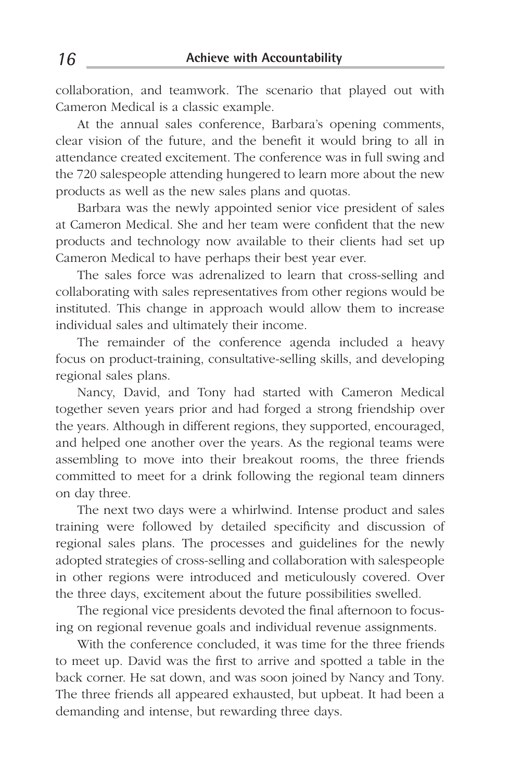collaboration, and teamwork. The scenario that played out with Cameron Medical is a classic example.

At the annual sales conference, Barbara's opening comments, clear vision of the future, and the benefit it would bring to all in attendance created excitement. The conference was in full swing and the 720 salespeople attending hungered to learn more about the new products as well as the new sales plans and quotas.

Barbara was the newly appointed senior vice president of sales at Cameron Medical. She and her team were confident that the new products and technology now available to their clients had set up Cameron Medical to have perhaps their best year ever.

The sales force was adrenalized to learn that cross-selling and collaborating with sales representatives from other regions would be instituted. This change in approach would allow them to increase individual sales and ultimately their income.

The remainder of the conference agenda included a heavy focus on product-training, consultative-selling skills, and developing regional sales plans.

Nancy, David, and Tony had started with Cameron Medical together seven years prior and had forged a strong friendship over the years. Although in different regions, they supported, encouraged, and helped one another over the years. As the regional teams were assembling to move into their breakout rooms, the three friends committed to meet for a drink following the regional team dinners on day three.

> The next two days were a whirlwind. Intense product and sales training were followed by detailed specificity and discussion of regional sales plans. The processes and guidelines for the newly adopted strategies of cross-selling and collaboration with salespeople in other regions were introduced and meticulously covered. Over the three days, excitement about the future possibilities swelled.

> The regional vice presidents devoted the final afternoon to focusing on regional revenue goals and individual revenue assignments.

> With the conference concluded, it was time for the three friends to meet up. David was the first to arrive and spotted a table in the back corner. He sat down, and was soon joined by Nancy and Tony. The three friends all appeared exhausted, but upbeat. It had been a demanding and intense, but rewarding three days.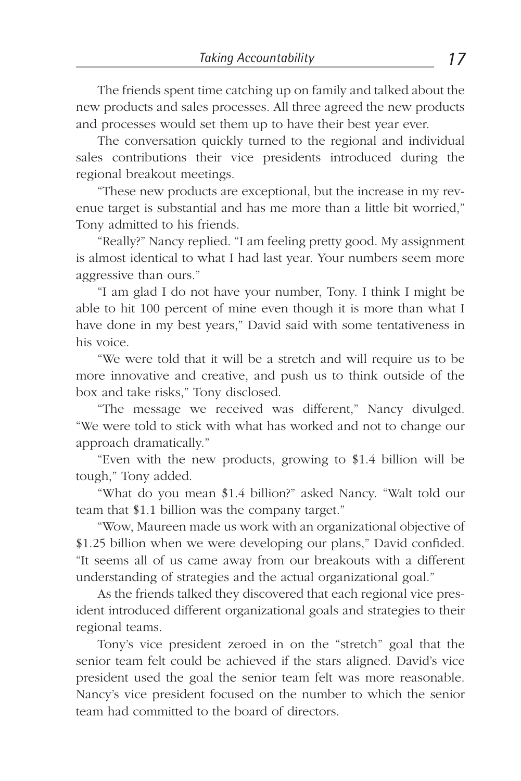The friends spent time catching up on family and talked about the new products and sales processes. All three agreed the new products and processes would set them up to have their best year ever.

The conversation quickly turned to the regional and individual sales contributions their vice presidents introduced during the regional breakout meetings.

"These new products are exceptional, but the increase in my revenue target is substantial and has me more than a little bit worried," Tony admitted to his friends.

"Really?" Nancy replied. "I am feeling pretty good. My assignment is almost identical to what I had last year. Your numbers seem more aggressive than ours."

"I am glad I do not have your number, Tony. I think I might be able to hit 100 percent of mine even though it is more than what I have done in my best years," David said with some tentativeness in his voice.

❦ ❦ box and take risks," Tony disclosed. "We were told that it will be a stretch and will require us to be more innovative and creative, and push us to think outside of the

> "The message we received was different," Nancy divulged. "We were told to stick with what has worked and not to change our approach dramatically."

> "Even with the new products, growing to \$1.4 billion will be tough," Tony added.

> "What do you mean \$1.4 billion?" asked Nancy. "Walt told our team that \$1.1 billion was the company target."

> "Wow, Maureen made us work with an organizational objective of \$1.25 billion when we were developing our plans," David confided. "It seems all of us came away from our breakouts with a different understanding of strategies and the actual organizational goal."

> As the friends talked they discovered that each regional vice president introduced different organizational goals and strategies to their regional teams.

> Tony's vice president zeroed in on the "stretch" goal that the senior team felt could be achieved if the stars aligned. David's vice president used the goal the senior team felt was more reasonable. Nancy's vice president focused on the number to which the senior team had committed to the board of directors.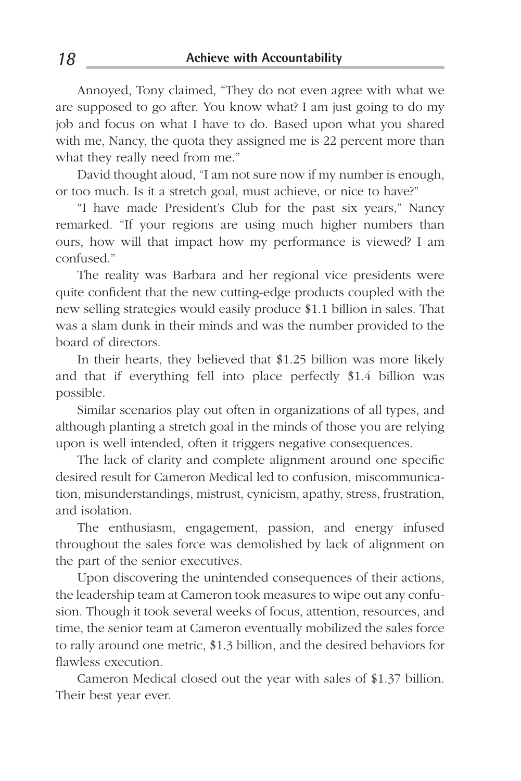Annoyed, Tony claimed, "They do not even agree with what we are supposed to go after. You know what? I am just going to do my job and focus on what I have to do. Based upon what you shared with me, Nancy, the quota they assigned me is 22 percent more than what they really need from me."

David thought aloud, "I am not sure now if my number is enough, or too much. Is it a stretch goal, must achieve, or nice to have?"

"I have made President's Club for the past six years," Nancy remarked. "If your regions are using much higher numbers than ours, how will that impact how my performance is viewed? I am confused."

The reality was Barbara and her regional vice presidents were quite confident that the new cutting-edge products coupled with the new selling strategies would easily produce \$1.1 billion in sales. That was a slam dunk in their minds and was the number provided to the board of directors.

possible  $\overline{a}$   $\overline{b}$   $\overline{c}$   $\overline{d}$   $\overline{d}$   $\overline{d}$   $\overline{d}$   $\overline{d}$   $\overline{d}$   $\overline{d}$   $\overline{d}$   $\overline{d}$   $\overline{d}$   $\overline{d}$   $\overline{d}$   $\overline{d}$   $\overline{d}$   $\overline{d}$   $\overline{d}$   $\overline{d}$   $\overline{d}$   $\overline{d}$   $\overline{d}$   $\overline{d$ In their hearts, they believed that \$1.25 billion was more likely and that if everything fell into place perfectly \$1.4 billion was possible.

> Similar scenarios play out often in organizations of all types, and although planting a stretch goal in the minds of those you are relying upon is well intended, often it triggers negative consequences.

> The lack of clarity and complete alignment around one specific desired result for Cameron Medical led to confusion, miscommunication, misunderstandings, mistrust, cynicism, apathy, stress, frustration, and isolation.

> The enthusiasm, engagement, passion, and energy infused throughout the sales force was demolished by lack of alignment on the part of the senior executives.

> Upon discovering the unintended consequences of their actions, the leadership team at Cameron took measures to wipe out any confusion. Though it took several weeks of focus, attention, resources, and time, the senior team at Cameron eventually mobilized the sales force to rally around one metric, \$1.3 billion, and the desired behaviors for flawless execution.

> Cameron Medical closed out the year with sales of \$1.37 billion. Their best year ever.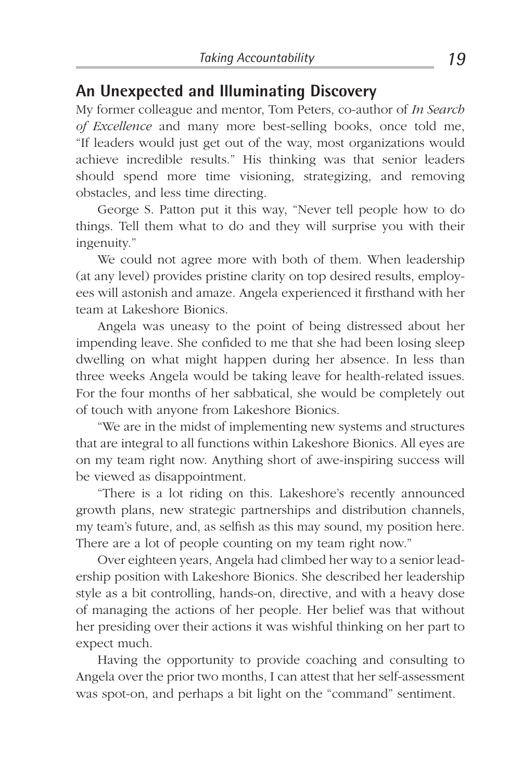## **An Unexpected and Illuminating Discovery**

My former colleague and mentor, Tom Peters, co-author of In Search of Excellence and many more best-selling books, once told me, "If leaders would just get out of the way, most organizations would achieve incredible results." His thinking was that senior leaders should spend more time visioning, strategizing, and removing obstacles, and less time directing.

George S. Patton put it this way, "Never tell people how to do things. Tell them what to do and they will surprise you with their ingenuity."

We could not agree more with both of them. When leadership (at any level) provides pristine clarity on top desired results, employees will astonish and amaze. Angela experienced it firsthand with her team at Lakeshore Bionics.

For the four months of her sabbatical, she would be completely out Angela was uneasy to the point of being distressed about her impending leave. She confided to me that she had been losing sleep dwelling on what might happen during her absence. In less than three weeks Angela would be taking leave for health-related issues. of touch with anyone from Lakeshore Bionics.

> "We are in the midst of implementing new systems and structures that are integral to all functions within Lakeshore Bionics. All eyes are on my team right now. Anything short of awe-inspiring success will be viewed as disappointment.

> "There is a lot riding on this. Lakeshore's recently announced growth plans, new strategic partnerships and distribution channels, my team's future, and, as selfish as this may sound, my position here. There are a lot of people counting on my team right now."

> Over eighteen years, Angela had climbed her way to a senior leadership position with Lakeshore Bionics. She described her leadership style as a bit controlling, hands-on, directive, and with a heavy dose of managing the actions of her people. Her belief was that without her presiding over their actions it was wishful thinking on her part to expect much.

> Having the opportunity to provide coaching and consulting to Angela over the prior two months, I can attest that her self-assessment was spot-on, and perhaps a bit light on the "command" sentiment.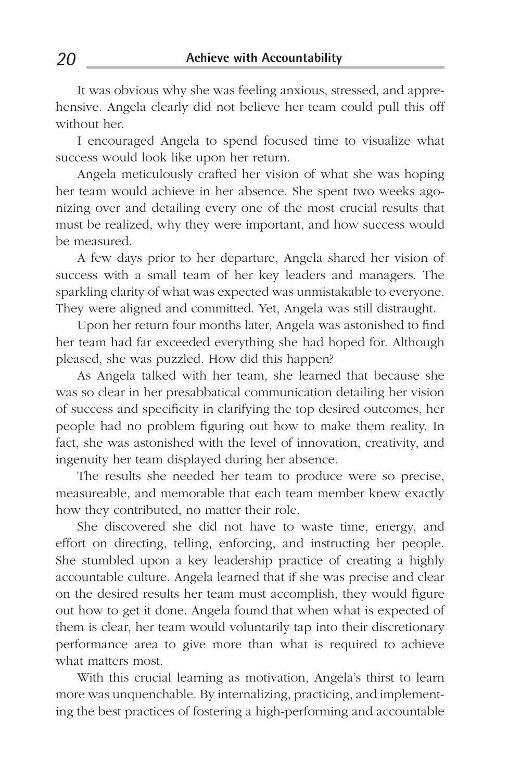It was obvious why she was feeling anxious, stressed, and apprehensive. Angela clearly did not believe her team could pull this off without her.

I encouraged Angela to spend focused time to visualize what success would look like upon her return.

Angela meticulously crafted her vision of what she was hoping her team would achieve in her absence. She spent two weeks agonizing over and detailing every one of the most crucial results that must be realized, why they were important, and how success would be measured.

A few days prior to her departure, Angela shared her vision of success with a small team of her key leaders and managers. The sparkling clarity of what was expected was unmistakable to everyone. They were aligned and committed. Yet, Angela was still distraught.

Upon her return four months later, Angela was astonished to find her team had far exceeded everything she had hoped for. Although pleased, she was puzzled. How did this happen?

❦ ❦ was so clear in her presabbatical communication detailing her vision As Angela talked with her team, she learned that because she of success and specificity in clarifying the top desired outcomes, her people had no problem figuring out how to make them reality. In fact, she was astonished with the level of innovation, creativity, and ingenuity her team displayed during her absence.

> The results she needed her team to produce were so precise, measureable, and memorable that each team member knew exactly how they contributed, no matter their role.

> She discovered she did not have to waste time, energy, and effort on directing, telling, enforcing, and instructing her people. She stumbled upon a key leadership practice of creating a highly accountable culture. Angela learned that if she was precise and clear on the desired results her team must accomplish, they would figure out how to get it done. Angela found that when what is expected of them is clear, her team would voluntarily tap into their discretionary performance area to give more than what is required to achieve what matters most.

> With this crucial learning as motivation, Angela's thirst to learn more was unquenchable. By internalizing, practicing, and implementing the best practices of fostering a high-performing and accountable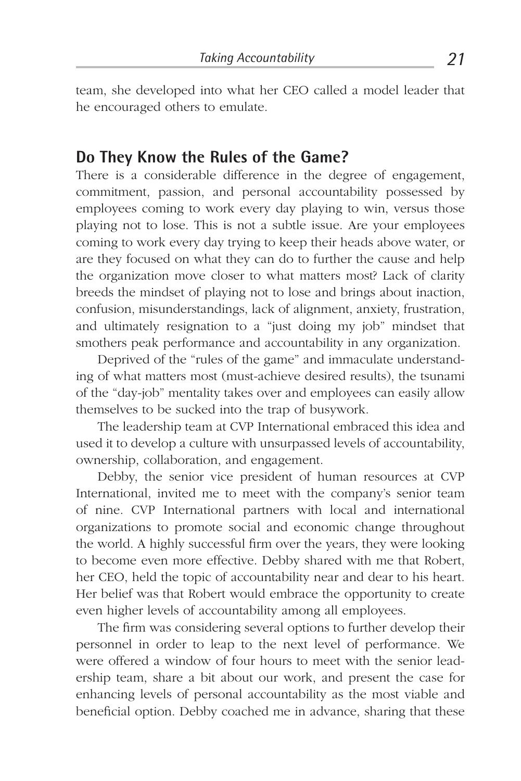team, she developed into what her CEO called a model leader that he encouraged others to emulate.

## **Do They Know the Rules of the Game?**

There is a considerable difference in the degree of engagement, commitment, passion, and personal accountability possessed by employees coming to work every day playing to win, versus those playing not to lose. This is not a subtle issue. Are your employees coming to work every day trying to keep their heads above water, or are they focused on what they can do to further the cause and help the organization move closer to what matters most? Lack of clarity breeds the mindset of playing not to lose and brings about inaction, confusion, misunderstandings, lack of alignment, anxiety, frustration, and ultimately resignation to a "just doing my job" mindset that smothers peak performance and accountability in any organization.

❦ ❦ of the "day-job" mentality takes over and employees can easily allow Deprived of the "rules of the game" and immaculate understanding of what matters most (must-achieve desired results), the tsunami themselves to be sucked into the trap of busywork.

> The leadership team at CVP International embraced this idea and used it to develop a culture with unsurpassed levels of accountability, ownership, collaboration, and engagement.

> Debby, the senior vice president of human resources at CVP International, invited me to meet with the company's senior team of nine. CVP International partners with local and international organizations to promote social and economic change throughout the world. A highly successful firm over the years, they were looking to become even more effective. Debby shared with me that Robert, her CEO, held the topic of accountability near and dear to his heart. Her belief was that Robert would embrace the opportunity to create even higher levels of accountability among all employees.

> The firm was considering several options to further develop their personnel in order to leap to the next level of performance. We were offered a window of four hours to meet with the senior leadership team, share a bit about our work, and present the case for enhancing levels of personal accountability as the most viable and beneficial option. Debby coached me in advance, sharing that these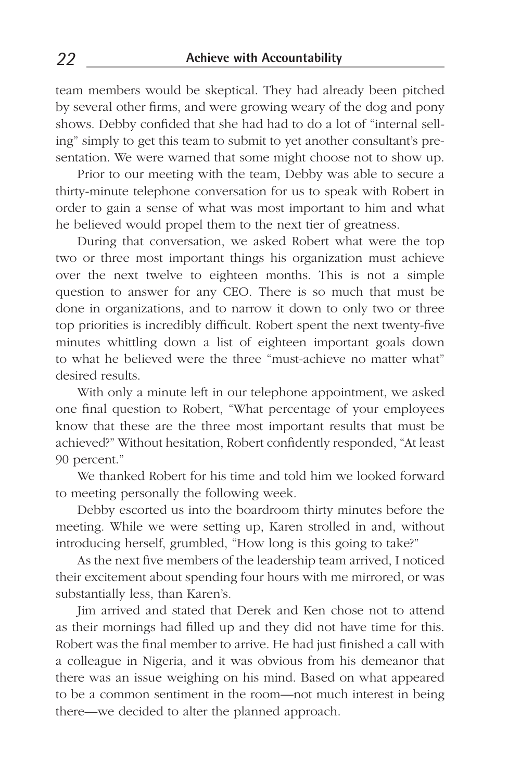team members would be skeptical. They had already been pitched by several other firms, and were growing weary of the dog and pony shows. Debby confided that she had had to do a lot of "internal selling" simply to get this team to submit to yet another consultant's presentation. We were warned that some might choose not to show up.

Prior to our meeting with the team, Debby was able to secure a thirty-minute telephone conversation for us to speak with Robert in order to gain a sense of what was most important to him and what he believed would propel them to the next tier of greatness.

During that conversation, we asked Robert what were the top two or three most important things his organization must achieve over the next twelve to eighteen months. This is not a simple question to answer for any CEO. There is so much that must be done in organizations, and to narrow it down to only two or three top priorities is incredibly difficult. Robert spent the next twenty-five minutes whittling down a list of eighteen important goals down to what he believed were the three "must-achieve no matter what" desired results.

With only a minute left in our telephone appointment, we asked one final question to Robert, "What percentage of your employees know that these are the three most important results that must be achieved?" Without hesitation, Robert confidently responded, "At least 90 percent."

> We thanked Robert for his time and told him we looked forward to meeting personally the following week.

> Debby escorted us into the boardroom thirty minutes before the meeting. While we were setting up, Karen strolled in and, without introducing herself, grumbled, "How long is this going to take?"

> As the next five members of the leadership team arrived, I noticed their excitement about spending four hours with me mirrored, or was substantially less, than Karen's.

> Jim arrived and stated that Derek and Ken chose not to attend as their mornings had filled up and they did not have time for this. Robert was the final member to arrive. He had just finished a call with a colleague in Nigeria, and it was obvious from his demeanor that there was an issue weighing on his mind. Based on what appeared to be a common sentiment in the room—not much interest in being there—we decided to alter the planned approach.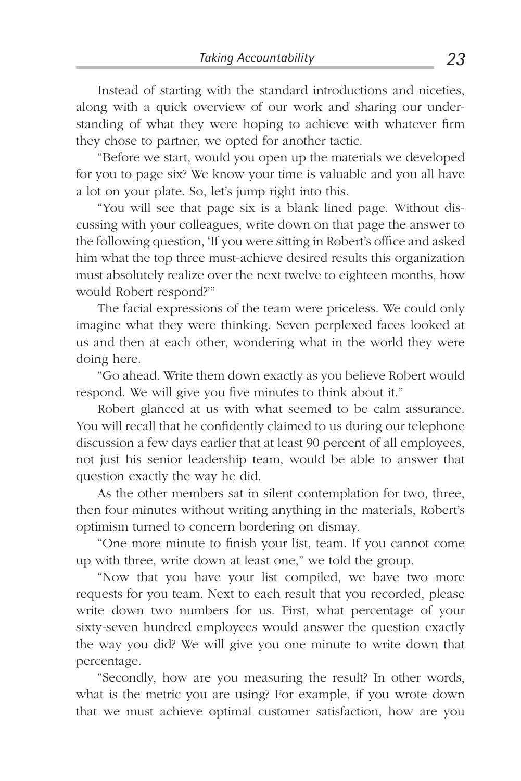Instead of starting with the standard introductions and niceties, along with a quick overview of our work and sharing our understanding of what they were hoping to achieve with whatever firm they chose to partner, we opted for another tactic.

"Before we start, would you open up the materials we developed for you to page six? We know your time is valuable and you all have a lot on your plate. So, let's jump right into this.

"You will see that page six is a blank lined page. Without discussing with your colleagues, write down on that page the answer to the following question, 'If you were sitting in Robert's office and asked him what the top three must-achieve desired results this organization must absolutely realize over the next twelve to eighteen months, how would Robert respond?'"

The facial expressions of the team were priceless. We could only imagine what they were thinking. Seven perplexed faces looked at us and then at each other, wondering what in the world they were doing here.

respond. We will give you five minutes to think about it." "Go ahead. Write them down exactly as you believe Robert would

> Robert glanced at us with what seemed to be calm assurance. You will recall that he confidently claimed to us during our telephone discussion a few days earlier that at least 90 percent of all employees, not just his senior leadership team, would be able to answer that question exactly the way he did.

> As the other members sat in silent contemplation for two, three, then four minutes without writing anything in the materials, Robert's optimism turned to concern bordering on dismay.

> "One more minute to finish your list, team. If you cannot come up with three, write down at least one," we told the group.

> "Now that you have your list compiled, we have two more requests for you team. Next to each result that you recorded, please write down two numbers for us. First, what percentage of your sixty-seven hundred employees would answer the question exactly the way you did? We will give you one minute to write down that percentage.

> "Secondly, how are you measuring the result? In other words, what is the metric you are using? For example, if you wrote down that we must achieve optimal customer satisfaction, how are you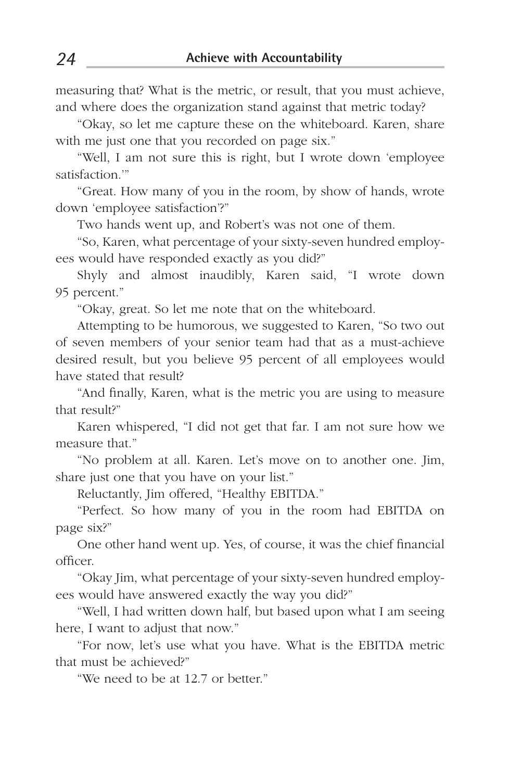measuring that? What is the metric, or result, that you must achieve, and where does the organization stand against that metric today?

"Okay, so let me capture these on the whiteboard. Karen, share with me just one that you recorded on page six."

"Well, I am not sure this is right, but I wrote down 'employee satisfaction.'"

"Great. How many of you in the room, by show of hands, wrote down 'employee satisfaction'?"

Two hands went up, and Robert's was not one of them.

"So, Karen, what percentage of your sixty-seven hundred employees would have responded exactly as you did?"

Shyly and almost inaudibly, Karen said, "I wrote down 95 percent."

"Okay, great. So let me note that on the whiteboard.

Attempting to be humorous, we suggested to Karen, "So two out of seven members of your senior team had that as a must-achieve desired result, but you believe 95 percent of all employees would have stated that result?

❦ ❦ "And finally, Karen, what is the metric you are using to measure that result?"

> Karen whispered, "I did not get that far. I am not sure how we measure that."

> "No problem at all. Karen. Let's move on to another one. Jim, share just one that you have on your list."

Reluctantly, Jim offered, "Healthy EBITDA."

"Perfect. So how many of you in the room had EBITDA on page six?"

One other hand went up. Yes, of course, it was the chief financial officer.

"Okay Jim, what percentage of your sixty-seven hundred employees would have answered exactly the way you did?"

"Well, I had written down half, but based upon what I am seeing here, I want to adjust that now."

"For now, let's use what you have. What is the EBITDA metric that must be achieved?"

"We need to be at 12.7 or better."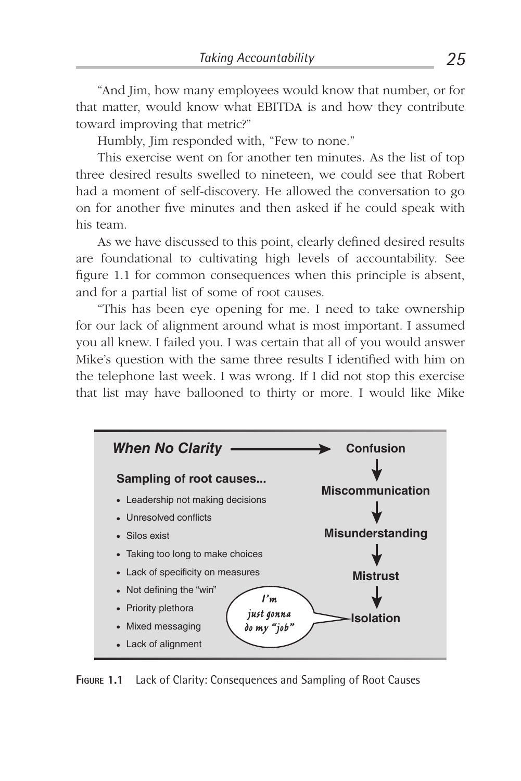"And Jim, how many employees would know that number, or for that matter, would know what EBITDA is and how they contribute toward improving that metric?"

Humbly, Jim responded with, "Few to none."

This exercise went on for another ten minutes. As the list of top three desired results swelled to nineteen, we could see that Robert had a moment of self-discovery. He allowed the conversation to go on for another five minutes and then asked if he could speak with his team.

As we have discussed to this point, clearly defined desired results are foundational to cultivating high levels of accountability. See figure 1.1 for common consequences when this principle is absent, and for a partial list of some of root causes.

that list may have ballooned to thirty or more. I would like Mike "This has been eye opening for me. I need to take ownership for our lack of alignment around what is most important. I assumed you all knew. I failed you. I was certain that all of you would answer Mike's question with the same three results I identified with him on the telephone last week. I was wrong. If I did not stop this exercise



**FIGURE 1.1** Lack of Clarity: Consequences and Sampling of Root Causes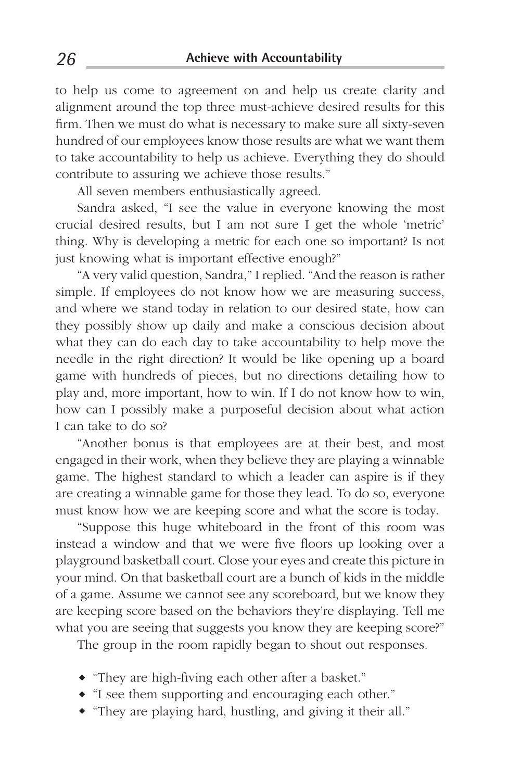to help us come to agreement on and help us create clarity and alignment around the top three must-achieve desired results for this firm. Then we must do what is necessary to make sure all sixty-seven hundred of our employees know those results are what we want them to take accountability to help us achieve. Everything they do should contribute to assuring we achieve those results."

All seven members enthusiastically agreed.

Sandra asked, "I see the value in everyone knowing the most crucial desired results, but I am not sure I get the whole 'metric' thing. Why is developing a metric for each one so important? Is not just knowing what is important effective enough?"

play and, more important, how to win. If I do not know how to win, "A very valid question, Sandra," I replied. "And the reason is rather simple. If employees do not know how we are measuring success, and where we stand today in relation to our desired state, how can they possibly show up daily and make a conscious decision about what they can do each day to take accountability to help move the needle in the right direction? It would be like opening up a board game with hundreds of pieces, but no directions detailing how to how can I possibly make a purposeful decision about what action I can take to do so?

> "Another bonus is that employees are at their best, and most engaged in their work, when they believe they are playing a winnable game. The highest standard to which a leader can aspire is if they are creating a winnable game for those they lead. To do so, everyone must know how we are keeping score and what the score is today.

> "Suppose this huge whiteboard in the front of this room was instead a window and that we were five floors up looking over a playground basketball court. Close your eyes and create this picture in your mind. On that basketball court are a bunch of kids in the middle of a game. Assume we cannot see any scoreboard, but we know they are keeping score based on the behaviors they're displaying. Tell me what you are seeing that suggests you know they are keeping score?"

The group in the room rapidly began to shout out responses.

- ◆ "They are high-fiving each other after a basket."
- ◆ "I see them supporting and encouraging each other."
- ◆ "They are playing hard, hustling, and giving it their all."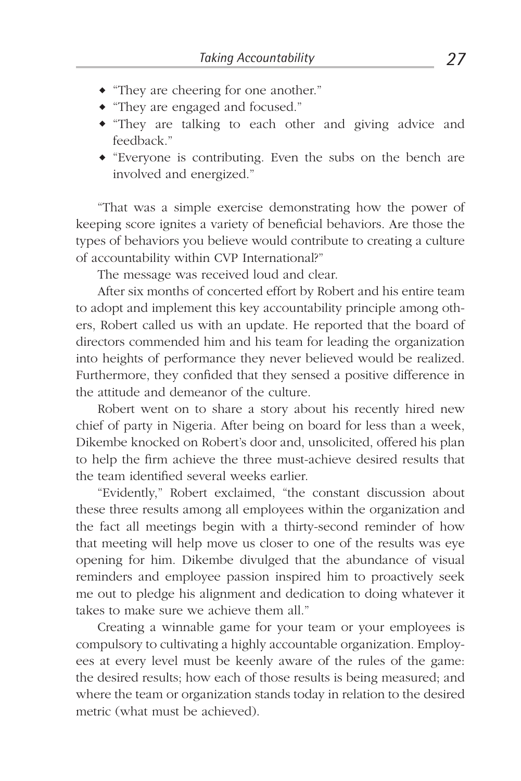- ◆ "They are cheering for one another."
- ◆ "They are engaged and focused."
- ◆ "They are talking to each other and giving advice and feedback."
- ◆ "Everyone is contributing. Even the subs on the bench are involved and energized."

"That was a simple exercise demonstrating how the power of keeping score ignites a variety of beneficial behaviors. Are those the types of behaviors you believe would contribute to creating a culture of accountability within CVP International?"

The message was received loud and clear.

the attitude and demeanor of the culture. After six months of concerted effort by Robert and his entire team to adopt and implement this key accountability principle among others, Robert called us with an update. He reported that the board of directors commended him and his team for leading the organization into heights of performance they never believed would be realized. Furthermore, they confided that they sensed a positive difference in

> Robert went on to share a story about his recently hired new chief of party in Nigeria. After being on board for less than a week, Dikembe knocked on Robert's door and, unsolicited, offered his plan to help the firm achieve the three must-achieve desired results that the team identified several weeks earlier.

> "Evidently," Robert exclaimed, "the constant discussion about these three results among all employees within the organization and the fact all meetings begin with a thirty-second reminder of how that meeting will help move us closer to one of the results was eye opening for him. Dikembe divulged that the abundance of visual reminders and employee passion inspired him to proactively seek me out to pledge his alignment and dedication to doing whatever it takes to make sure we achieve them all."

> Creating a winnable game for your team or your employees is compulsory to cultivating a highly accountable organization. Employees at every level must be keenly aware of the rules of the game: the desired results; how each of those results is being measured; and where the team or organization stands today in relation to the desired metric (what must be achieved).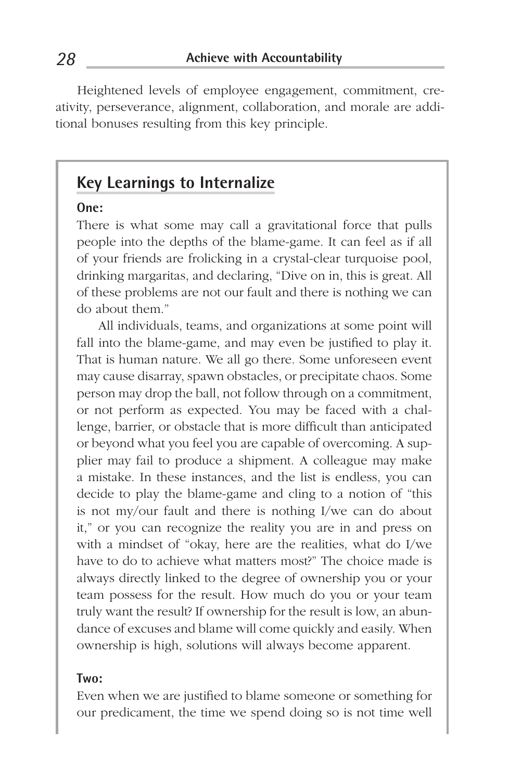Heightened levels of employee engagement, commitment, creativity, perseverance, alignment, collaboration, and morale are additional bonuses resulting from this key principle.

## **Key Learnings to Internalize**

#### **One:**

There is what some may call a gravitational force that pulls people into the depths of the blame-game. It can feel as if all of your friends are frolicking in a crystal-clear turquoise pool, drinking margaritas, and declaring, "Dive on in, this is great. All of these problems are not our fault and there is nothing we can do about them."

person may drop the ball, not follow through on a commitment, All individuals, teams, and organizations at some point will fall into the blame-game, and may even be justified to play it. That is human nature. We all go there. Some unforeseen event may cause disarray, spawn obstacles, or precipitate chaos. Some or not perform as expected. You may be faced with a challenge, barrier, or obstacle that is more difficult than anticipated or beyond what you feel you are capable of overcoming. A supplier may fail to produce a shipment. A colleague may make a mistake. In these instances, and the list is endless, you can decide to play the blame-game and cling to a notion of "this is not my/our fault and there is nothing I/we can do about it," or you can recognize the reality you are in and press on with a mindset of "okay, here are the realities, what do I/we have to do to achieve what matters most?" The choice made is always directly linked to the degree of ownership you or your team possess for the result. How much do you or your team truly want the result? If ownership for the result is low, an abundance of excuses and blame will come quickly and easily. When ownership is high, solutions will always become apparent.

#### **Two:**

Even when we are justified to blame someone or something for our predicament, the time we spend doing so is not time well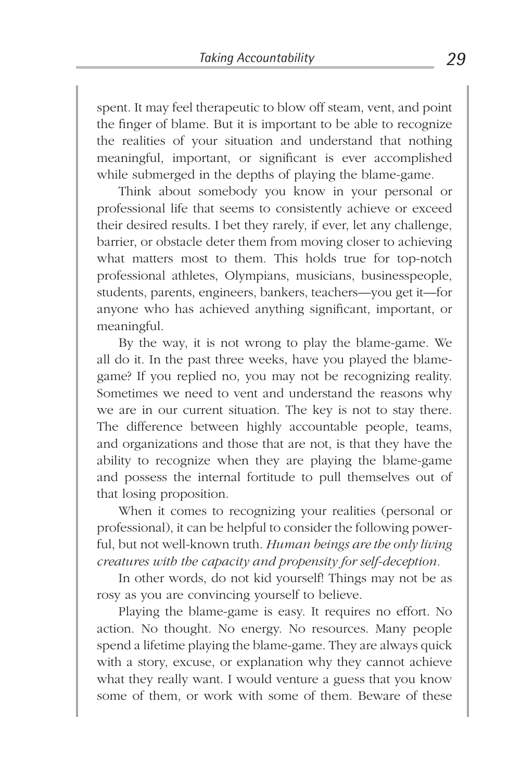spent. It may feel therapeutic to blow off steam, vent, and point the finger of blame. But it is important to be able to recognize the realities of your situation and understand that nothing meaningful, important, or significant is ever accomplished while submerged in the depths of playing the blame-game.

Think about somebody you know in your personal or professional life that seems to consistently achieve or exceed their desired results. I bet they rarely, if ever, let any challenge, barrier, or obstacle deter them from moving closer to achieving what matters most to them. This holds true for top-notch professional athletes, Olympians, musicians, businesspeople, students, parents, engineers, bankers, teachers—you get it—for anyone who has achieved anything significant, important, or meaningful.

Sometimes we need to vent and understand the reasons why By the way, it is not wrong to play the blame-game. We all do it. In the past three weeks, have you played the blamegame? If you replied no, you may not be recognizing reality. we are in our current situation. The key is not to stay there. The difference between highly accountable people, teams, and organizations and those that are not, is that they have the ability to recognize when they are playing the blame-game and possess the internal fortitude to pull themselves out of that losing proposition.

> When it comes to recognizing your realities (personal or professional), it can be helpful to consider the following powerful, but not well-known truth. Human beings are the only living creatures with the capacity and propensity for self-deception.

> In other words, do not kid yourself! Things may not be as rosy as you are convincing yourself to believe.

> Playing the blame-game is easy. It requires no effort. No action. No thought. No energy. No resources. Many people spend a lifetime playing the blame-game. They are always quick with a story, excuse, or explanation why they cannot achieve what they really want. I would venture a guess that you know some of them, or work with some of them. Beware of these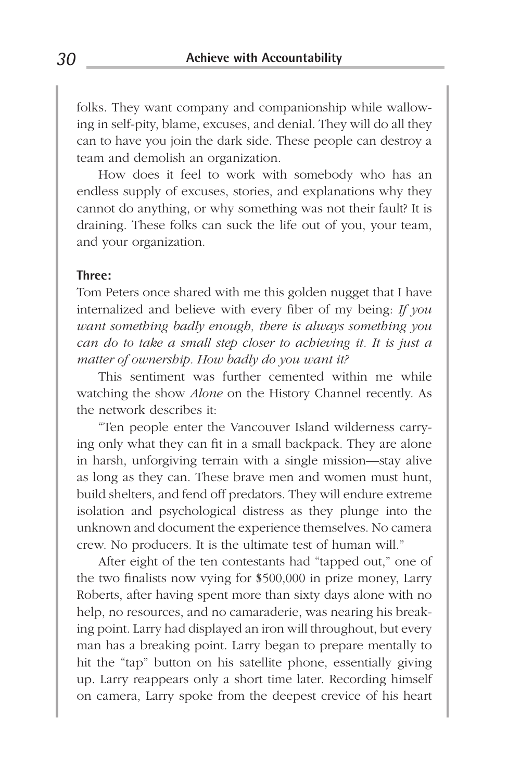folks. They want company and companionship while wallowing in self-pity, blame, excuses, and denial. They will do all they can to have you join the dark side. These people can destroy a team and demolish an organization.

How does it feel to work with somebody who has an endless supply of excuses, stories, and explanations why they cannot do anything, or why something was not their fault? It is draining. These folks can suck the life out of you, your team, and your organization.

#### **Three:**

Tom Peters once shared with me this golden nugget that I have internalized and believe with every fiber of my being: If you want something badly enough, there is always something you can do to take a small step closer to achieving it. It is just a matter of ownership. How badly do you want it?

watching the show *Alone* on the History Channel recently. As This sentiment was further cemented within me while the network describes it:

> "Ten people enter the Vancouver Island wilderness carrying only what they can fit in a small backpack. They are alone in harsh, unforgiving terrain with a single mission—stay alive as long as they can. These brave men and women must hunt, build shelters, and fend off predators. They will endure extreme isolation and psychological distress as they plunge into the unknown and document the experience themselves. No camera crew. No producers. It is the ultimate test of human will."

> After eight of the ten contestants had "tapped out," one of the two finalists now vying for \$500,000 in prize money, Larry Roberts, after having spent more than sixty days alone with no help, no resources, and no camaraderie, was nearing his breaking point. Larry had displayed an iron will throughout, but every man has a breaking point. Larry began to prepare mentally to hit the "tap" button on his satellite phone, essentially giving up. Larry reappears only a short time later. Recording himself on camera, Larry spoke from the deepest crevice of his heart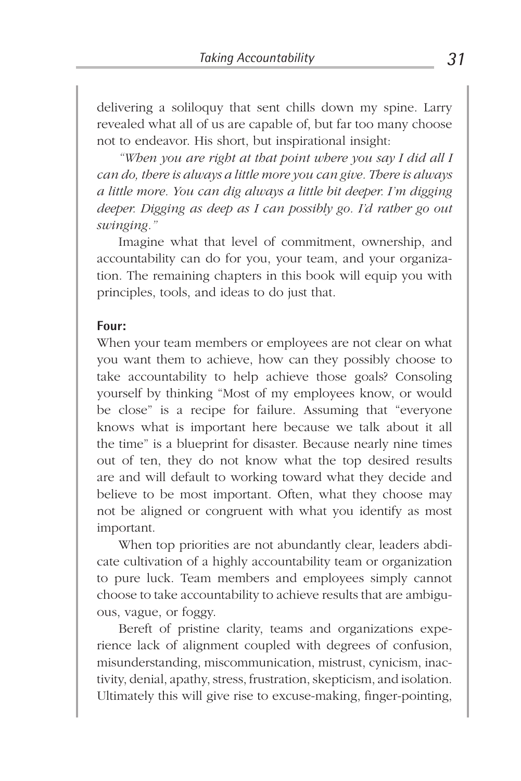delivering a soliloquy that sent chills down my spine. Larry revealed what all of us are capable of, but far too many choose not to endeavor. His short, but inspirational insight:

"When you are right at that point where you say I did all I can do, there is always a little more you can give. There is always a little more. You can dig always a little bit deeper. I'm digging deeper. Digging as deep as I can possibly go. I'd rather go out swinging."

Imagine what that level of commitment, ownership, and accountability can do for you, your team, and your organization. The remaining chapters in this book will equip you with principles, tools, and ideas to do just that.

#### **Four:**

yourself by thinking "Most of my employees know, or would When your team members or employees are not clear on what you want them to achieve, how can they possibly choose to take accountability to help achieve those goals? Consoling be close" is a recipe for failure. Assuming that "everyone knows what is important here because we talk about it all the time" is a blueprint for disaster. Because nearly nine times out of ten, they do not know what the top desired results are and will default to working toward what they decide and believe to be most important. Often, what they choose may not be aligned or congruent with what you identify as most important.

> When top priorities are not abundantly clear, leaders abdicate cultivation of a highly accountability team or organization to pure luck. Team members and employees simply cannot choose to take accountability to achieve results that are ambiguous, vague, or foggy.

> Bereft of pristine clarity, teams and organizations experience lack of alignment coupled with degrees of confusion, misunderstanding, miscommunication, mistrust, cynicism, inactivity, denial, apathy, stress, frustration, skepticism, and isolation. Ultimately this will give rise to excuse-making, finger-pointing,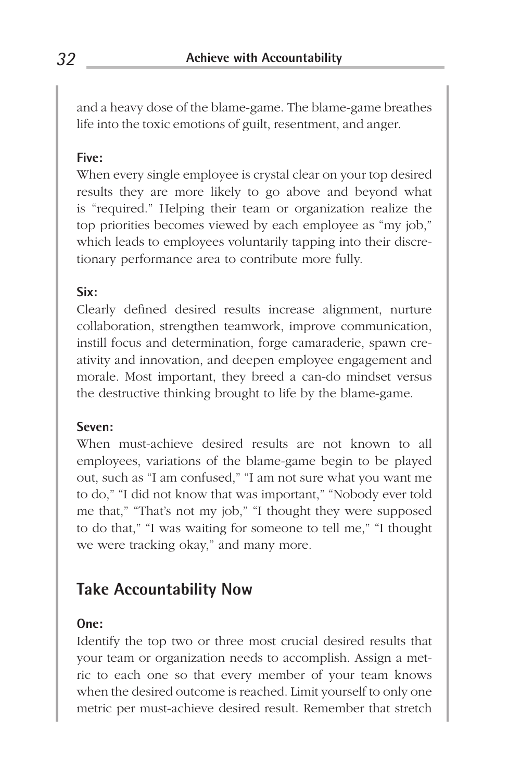and a heavy dose of the blame-game. The blame-game breathes life into the toxic emotions of guilt, resentment, and anger.

### **Five:**

When every single employee is crystal clear on your top desired results they are more likely to go above and beyond what is "required." Helping their team or organization realize the top priorities becomes viewed by each employee as "my job," which leads to employees voluntarily tapping into their discretionary performance area to contribute more fully.

#### **Six:**

the destructive thinking brought to life by the blame-game. Clearly defined desired results increase alignment, nurture collaboration, strengthen teamwork, improve communication, instill focus and determination, forge camaraderie, spawn creativity and innovation, and deepen employee engagement and morale. Most important, they breed a can-do mindset versus

#### **Seven:**

When must-achieve desired results are not known to all employees, variations of the blame-game begin to be played out, such as "I am confused," "I am not sure what you want me to do," "I did not know that was important," "Nobody ever told me that," "That's not my job," "I thought they were supposed to do that," "I was waiting for someone to tell me," "I thought we were tracking okay," and many more.

## **Take Accountability Now**

#### **One:**

Identify the top two or three most crucial desired results that your team or organization needs to accomplish. Assign a metric to each one so that every member of your team knows when the desired outcome is reached. Limit yourself to only one metric per must-achieve desired result. Remember that stretch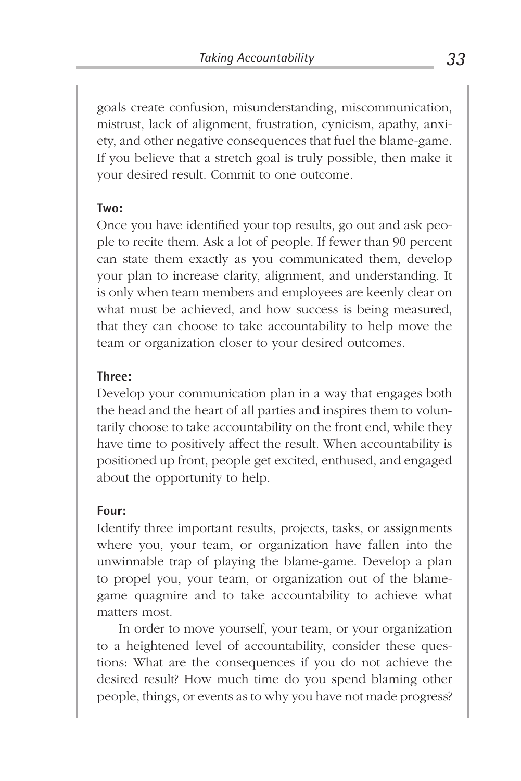goals create confusion, misunderstanding, miscommunication, mistrust, lack of alignment, frustration, cynicism, apathy, anxiety, and other negative consequences that fuel the blame-game. If you believe that a stretch goal is truly possible, then make it your desired result. Commit to one outcome.

#### **Two:**

Once you have identified your top results, go out and ask people to recite them. Ask a lot of people. If fewer than 90 percent can state them exactly as you communicated them, develop your plan to increase clarity, alignment, and understanding. It is only when team members and employees are keenly clear on what must be achieved, and how success is being measured, that they can choose to take accountability to help move the team or organization closer to your desired outcomes.

#### **Three:**

Develop your communication plan in a way that engages both the head and the heart of all parties and inspires them to voluntarily choose to take accountability on the front end, while they have time to positively affect the result. When accountability is positioned up front, people get excited, enthused, and engaged about the opportunity to help.

#### **Four:**

Identify three important results, projects, tasks, or assignments where you, your team, or organization have fallen into the unwinnable trap of playing the blame-game. Develop a plan to propel you, your team, or organization out of the blamegame quagmire and to take accountability to achieve what matters most.

In order to move yourself, your team, or your organization to a heightened level of accountability, consider these questions: What are the consequences if you do not achieve the desired result? How much time do you spend blaming other people, things, or events as to why you have not made progress?